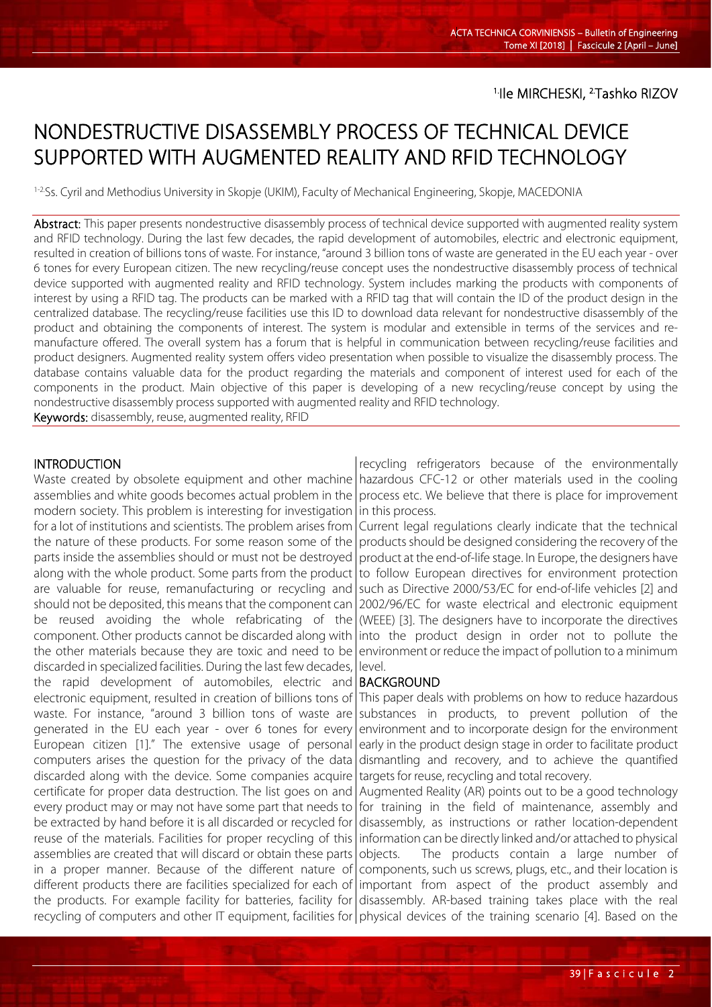# NONDESTRUCTIVE DISASSEMBLY PROCESS OF TECHNICAL DEVICE SUPPORTED WITH AUGMENTED REALITY AND RFID TECHNOLOGY

1-2.Ss. Cyril and Methodius University in Skopje (UKIM), Faculty of Mechanical Engineering, Skopje, MACEDONIA

Abstract: This paper presents nondestructive disassembly process of technical device supported with augmented reality system and RFID technology. During the last few decades, the rapid development of automobiles, electric and electronic equipment, resulted in creation of billions tons of waste. For instance, "around 3 billion tons of waste are generated in the EU each year - over 6 tones for every European citizen. The new recycling/reuse concept uses the nondestructive disassembly process of technical device supported with augmented reality and RFID technology. System includes marking the products with components of interest by using a RFID tag. The products can be marked with a RFID tag that will contain the ID of the product design in the centralized database. The recycling/reuse facilities use this ID to download data relevant for nondestructive disassembly of the product and obtaining the components of interest. The system is modular and extensible in terms of the services and remanufacture offered. The overall system has a forum that is helpful in communication between recycling/reuse facilities and product designers. Augmented reality system offers video presentation when possible to visualize the disassembly process. The database contains valuable data for the product regarding the materials and component of interest used for each of the components in the product. Main objective of this paper is developing of a new recycling/reuse concept by using the nondestructive disassembly process supported with augmented reality and RFID technology.

Keywords: disassembly, reuse, augmented reality, RFID

# INTRODUCTION

l

Waste created by obsolete equipment and other machine | hazardous CFC-12 or other materials used in the cooling assemblies and white goods becomes actual problem in the modern society. This problem is interesting for investigation for a lot of institutions and scientists. The problem arises from the nature of these products. For some reason some of the parts inside the assemblies should or must not be destroyed along with the whole product. Some parts from the product are valuable for reuse, remanufacturing or recycling and should not be deposited, this means that the component can be reused avoiding the whole refabricating of the component. Other products cannot be discarded along with the other materials because they are toxic and need to be discarded in specialized facilities. During the last few decades, the rapid development of automobiles, electric and electronic equipment, resulted in creation of billions tons of waste. For instance, "around 3 billion tons of waste are generated in the EU each year - over 6 tones for every European citizen [1]." The extensive usage of personal computers arises the question for the privacy of the data discarded along with the device. Some companies acquire certificate for proper data destruction. The list goes on and every product may or may not have some part that needs to be extracted by hand before it is all discarded or recycled for reuse of the materials. Facilities for proper recycling of this assemblies are created that will discard or obtain these parts in a proper manner. Because of the different nature of different products there are facilities specialized for each of the products. For example facility for batteries, facility for recycling of computers and other IT equipment, facilities for *physical devices of the training scenario* [4]. Based on the

recycling refrigerators because of the environmentally process etc. We believe that there is place for improvement in this process.

Current legal regulations clearly indicate that the technical products should be designed considering the recovery of the product at the end-of-life stage. In Europe, the designers have to follow European directives for environment protection such as Directive 2000/53/EC for end-of-life vehicles [2] and 2002/96/EC for waste electrical and electronic equipment (WEEE) [3]. The designers have to incorporate the directives into the product design in order not to pollute the environment or reduce the impact of pollution to a minimum level.

#### BACKGROUND

This paper deals with problems on how to reduce hazardous substances in products, to prevent pollution of the environment and to incorporate design for the environment early in the product design stage in order to facilitate product dismantling and recovery, and to achieve the quantified targets for reuse, recycling and total recovery.

Augmented Reality (AR) points out to be a good technology for training in the field of maintenance, assembly and disassembly, as instructions or rather location-dependent information can be directly linked and/or attached to physical objects. The products contain a large number of components, such us screws, plugs, etc., and their location is important from aspect of the product assembly and disassembly. AR-based training takes place with the real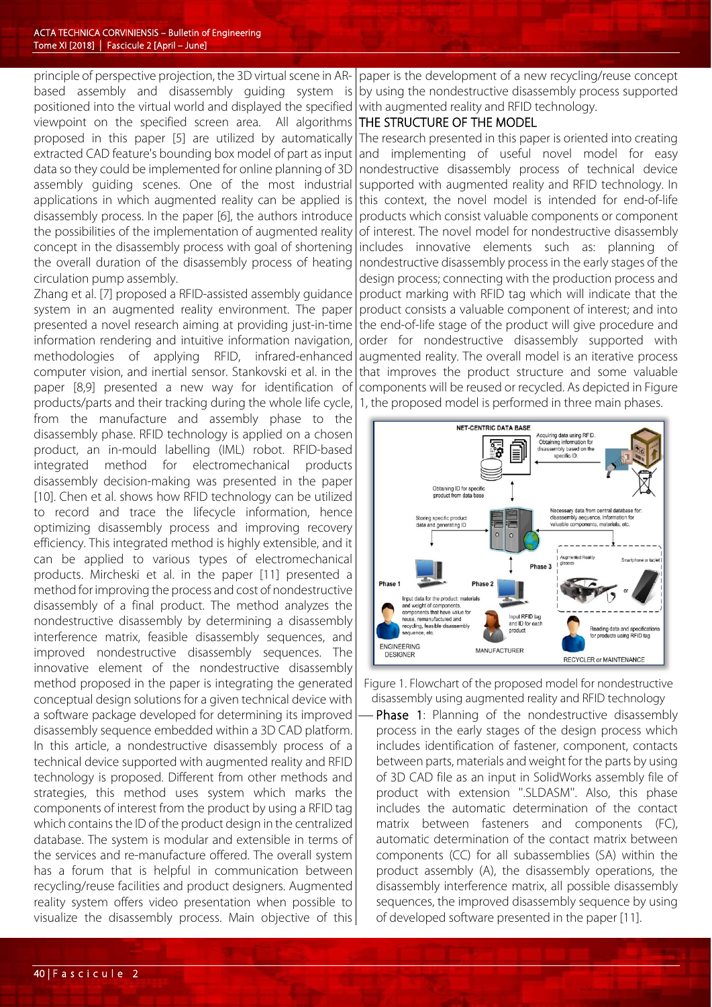principle of perspective projection, the 3D virtual scene in ARbased assembly and disassembly guiding system is positioned into the virtual world and displayed the specified viewpoint on the specified screen area. All algorithms proposed in this paper [5] are utilized by automatically extracted CAD feature's bounding box model of part as input data so they could be implemented for online planning of 3D assembly guiding scenes. One of the most industrial applications in which augmented reality can be applied is disassembly process. In the paper [6], the authors introduce the possibilities of the implementation of augmented reality concept in the disassembly process with goal of shortening the overall duration of the disassembly process of heating circulation pump assembly.

Zhang et al. [7] proposed a RFID-assisted assembly guidance system in an augmented reality environment. The paper presented a novel research aiming at providing just-in-time information rendering and intuitive information navigation, methodologies of applying RFID, infrared-enhanced computer vision, and inertial sensor. Stankovski et al. in the paper [8,9] presented a new way for identification of products/parts and their tracking during the whole life cycle, from the manufacture and assembly phase to the disassembly phase. RFID technology is applied on a chosen product, an in-mould labelling (IML) robot. RFID-based integrated method for electromechanical products disassembly decision-making was presented in the paper [10]. Chen et al. shows how RFID technology can be utilized to record and trace the lifecycle information, hence optimizing disassembly process and improving recovery efficiency. This integrated method is highly extensible, and it can be applied to various types of electromechanical products. Mircheski et al. in the paper [11] presented a method for improving the process and cost of nondestructive disassembly of a final product. The method analyzes the nondestructive disassembly by determining a disassembly interference matrix, feasible disassembly sequences, and improved nondestructive disassembly sequences. The innovative element of the nondestructive disassembly method proposed in the paper is integrating the generated conceptual design solutions for a given technical device with a software package developed for determining its improved disassembly sequence embedded within a 3D CAD platform. In this article, a nondestructive disassembly process of a technical device supported with augmented reality and RFID technology is proposed. Different from other methods and strategies, this method uses system which marks the components of interest from the product by using a RFID tag which contains the ID of the product design in the centralized database. The system is modular and extensible in terms of the services and re-manufacture offered. The overall system has a forum that is helpful in communication between recycling/reuse facilities and product designers. Augmented reality system offers video presentation when possible to visualize the disassembly process. Main objective of this

paper is the development of a new recycling/reuse concept by using the nondestructive disassembly process supported with augmented reality and RFID technology.

### THE STRUCTURE OF THE MODEL

The research presented in this paper is oriented into creating and implementing of useful novel model for easy nondestructive disassembly process of technical device supported with augmented reality and RFID technology. In this context, the novel model is intended for end-of-life products which consist valuable components or component of interest. The novel model for nondestructive disassembly includes innovative elements such as: planning of nondestructive disassembly process in the early stages of the design process; connecting with the production process and product marking with RFID tag which will indicate that the product consists a valuable component of interest; and into the end-of-life stage of the product will give procedure and order for nondestructive disassembly supported with augmented reality. The overall model is an iterative process that improves the product structure and some valuable components will be reused or recycled. As depicted in Figure 1, the proposed model is performed in three main phases.



Figure 1. Flowchart of the proposed model for nondestructive disassembly using augmented reality and RFID technology

 Phase 1: Planning of the nondestructive disassembly process in the early stages of the design process which includes identification of fastener, component, contacts between parts, materials and weight for the parts by using of 3D CAD file as an input in SolidWorks assembly file of product with extension ''.SLDASM''. Also, this phase includes the automatic determination of the contact matrix between fasteners and components (FC), automatic determination of the contact matrix between components (CC) for all subassemblies (SA) within the product assembly (A), the disassembly operations, the disassembly interference matrix, all possible disassembly sequences, the improved disassembly sequence by using of developed software presented in the paper [11].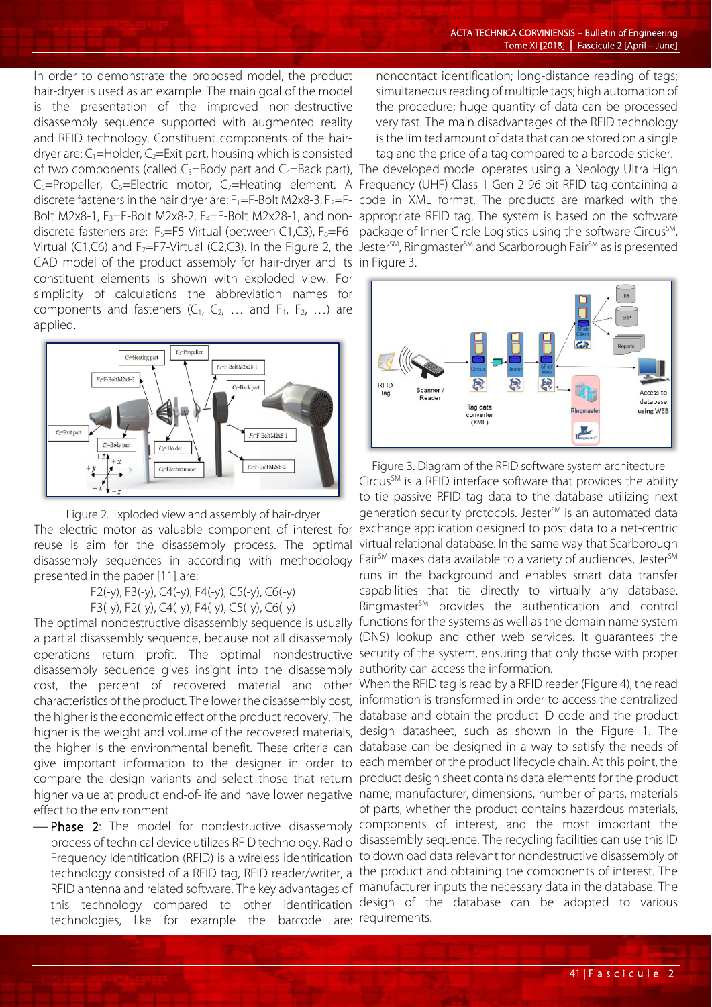In order to demonstrate the proposed model, the product hair-dryer is used as an example. The main goal of the model is the presentation of the improved non-destructive disassembly sequence supported with augmented reality and RFID technology. Constituent components of the hairdryer are:  $C_1$ =Holder,  $C_2$ =Exit part, housing which is consisted of two components (called  $C_3$ =Body part and  $C_4$ =Back part),  $C_5$ =Propeller,  $C_6$ =Electric motor,  $C_7$ =Heating element. A discrete fasteners in the hair dryer are:  $F_1=F-Bolt M2x8-3$ ,  $F_2=F-B$ Bolt M2x8-1,  $F_3 = F-Bolt M2x8-2$ ,  $F_4 = F-Bolt M2x28-1$ , and nondiscrete fasteners are:  $F_5 = F5$ -Virtual (between C1,C3),  $F_6 = F6$ -Virtual (C1,C6) and  $F_7 = F7$ -Virtual (C2,C3). In the Figure 2, the CAD model of the product assembly for hair-dryer and its constituent elements is shown with exploded view. For simplicity of calculations the abbreviation names for components and fasteners  $(C_1, C_2, \ldots$  and  $F_1, F_2, \ldots)$  are applied.



Figure 2. Exploded view and assembly of hair-dryer The electric motor as valuable component of interest for reuse is aim for the disassembly process. The optimal disassembly sequences in according with methodology presented in the paper [11] are:

F2(-y), F3(-y), C4(-y), F4(-y), C5(-y), C6(-y)

F3(-y), F2(-y), C4(-y), F4(-y), C5(-y), C6(-y)

The optimal nondestructive disassembly sequence is usually a partial disassembly sequence, because not all disassembly operations return profit. The optimal nondestructive disassembly sequence gives insight into the disassembly cost, the percent of recovered material and other characteristics of the product. The lower the disassembly cost, the higher is the economic effect of the product recovery. The higher is the weight and volume of the recovered materials, the higher is the environmental benefit. These criteria can give important information to the designer in order to compare the design variants and select those that return higher value at product end-of-life and have lower negative effect to the environment.

-Phase 2: The model for nondestructive disassembly process of technical device utilizes RFID technology. Radio Frequency Identification (RFID) is a wireless identification technology consisted of a RFID tag, RFID reader/writer, a RFID antenna and related software. The key advantages of this technology compared to other identification technologies, like for example the barcode are: noncontact identification; long-distance reading of tags; simultaneous reading of multiple tags; high automation of the procedure; huge quantity of data can be processed very fast. The main disadvantages of the RFID technology is the limited amount of data that can be stored on a single tag and the price of a tag compared to a barcode sticker.

The developed model operates using a Neology Ultra High Frequency (UHF) Class-1 Gen-2 96 bit RFID tag containing a code in XML format. The products are marked with the appropriate RFID tag. The system is based on the software package of Inner Circle Logistics using the software Circus<sup>SM</sup>, Jester<sup>SM</sup>, Ringmaster<sup>SM</sup> and Scarborough Fair<sup>SM</sup> as is presented in Figure 3.



Figure 3. Diagram of the RFID software system architecture  $Circus<sup>SM</sup>$  is a RFID interface software that provides the ability to tie passive RFID tag data to the database utilizing next generation security protocols. Jester<sup>SM</sup> is an automated data exchange application designed to post data to a net-centric virtual relational database. In the same way that Scarborough Fair<sup>SM</sup> makes data available to a variety of audiences, Jester<sup>SM</sup> runs in the background and enables smart data transfer capabilities that tie directly to virtually any database. Ringmaster<sup>SM</sup> provides the authentication and control functions for the systems as well as the domain name system (DNS) lookup and other web services. It guarantees the security of the system, ensuring that only those with proper authority can access the information.

When the RFID tag is read by a RFID reader (Figure 4), the read information is transformed in order to access the centralized database and obtain the product ID code and the product design datasheet, such as shown in the Figure 1. The database can be designed in a way to satisfy the needs of each member of the product lifecycle chain. At this point, the product design sheet contains data elements for the product name, manufacturer, dimensions, number of parts, materials of parts, whether the product contains hazardous materials, components of interest, and the most important the disassembly sequence. The recycling facilities can use this ID to download data relevant for nondestructive disassembly of the product and obtaining the components of interest. The manufacturer inputs the necessary data in the database. The design of the database can be adopted to various requirements.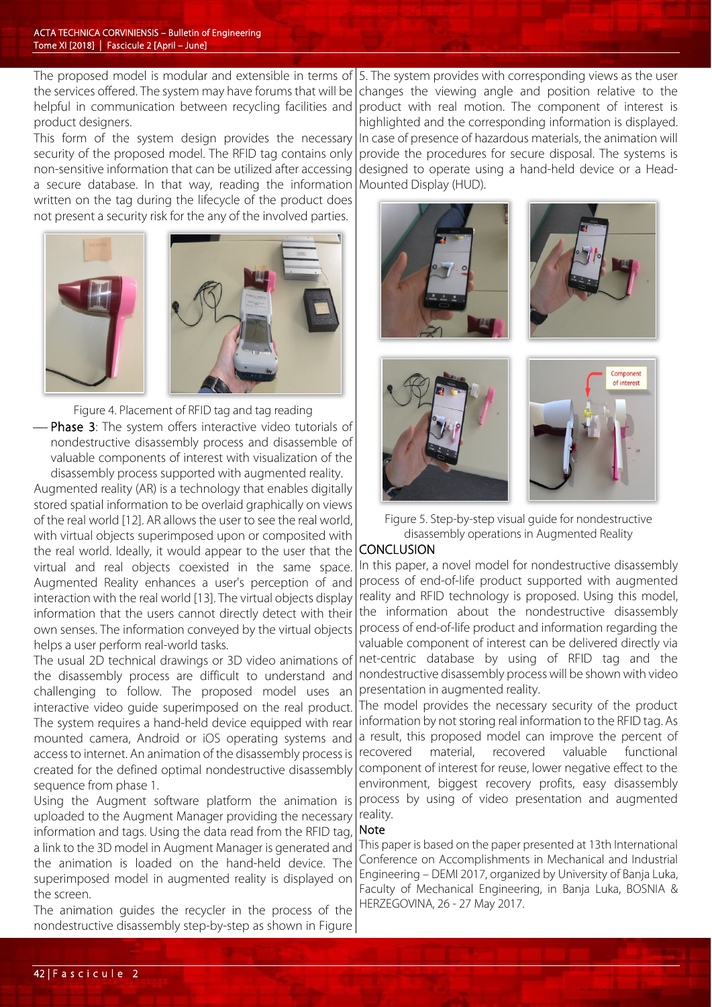The proposed model is modular and extensible in terms of the services offered. The system may have forums that will be helpful in communication between recycling facilities and product designers.

This form of the system design provides the necessary security of the proposed model. The RFID tag contains only non-sensitive information that can be utilized after accessing a secure database. In that way, reading the information written on the tag during the lifecycle of the product does not present a security risk for the any of the involved parties.



 Figure 4. Placement of RFID tag and tag reading Phase 3: The system offers interactive video tutorials of nondestructive disassembly process and disassemble of valuable components of interest with visualization of the disassembly process supported with augmented reality.

Augmented reality (AR) is a technology that enables digitally stored spatial information to be overlaid graphically on views of the real world [12]. AR allows the user to see the real world, with virtual objects superimposed upon or composited with the real world. Ideally, it would appear to the user that the virtual and real objects coexisted in the same space. Augmented Reality enhances a user's perception of and interaction with the real world [13]. The virtual objects display information that the users cannot directly detect with their own senses. The information conveyed by the virtual objects helps a user perform real-world tasks.

The usual 2D technical drawings or 3D video animations of the disassembly process are difficult to understand and challenging to follow. The proposed model uses an interactive video guide superimposed on the real product. The system requires a hand-held device equipped with rear mounted camera, Android or iOS operating systems and access to internet. An animation of the disassembly process is created for the defined optimal nondestructive disassembly sequence from phase 1.

Using the Augment software platform the animation is uploaded to the Augment Manager providing the necessary information and tags. Using the data read from the RFID tag, a link to the 3D model in Augment Manager is generated and the animation is loaded on the hand-held device. The superimposed model in augmented reality is displayed on the screen.

The animation guides the recycler in the process of the nondestructive disassembly step-by-step as shown in Figure

5. The system provides with corresponding views as the user changes the viewing angle and position relative to the product with real motion. The component of interest is highlighted and the corresponding information is displayed. In case of presence of hazardous materials, the animation will provide the procedures for secure disposal. The systems is designed to operate using a hand-held device or a Head-Mounted Display (HUD).





Figure 5. Step-by-step visual guide for nondestructive disassembly operations in Augmented Reality

# **CONCLUSION**

In this paper, a novel model for nondestructive disassembly process of end-of-life product supported with augmented reality and RFID technology is proposed. Using this model, the information about the nondestructive disassembly process of end-of-life product and information regarding the valuable component of interest can be delivered directly via net-centric database by using of RFID tag and the nondestructive disassembly process will be shown with video presentation in augmented reality.

The model provides the necessary security of the product information by not storing real information to the RFID tag. As a result, this proposed model can improve the percent of recovered material, recovered valuable functional component of interest for reuse, lower negative effect to the environment, biggest recovery profits, easy disassembly process by using of video presentation and augmented reality.

#### Note

This paper is based on the paper presented at 13th International Conference on Accomplishments in Mechanical and Industrial Engineering – DEMI 2017, organized by University of Banja Luka, Faculty of Mechanical Engineering, in Banja Luka, BOSNIA & HERZEGOVINA, 26 - 27 May 2017.